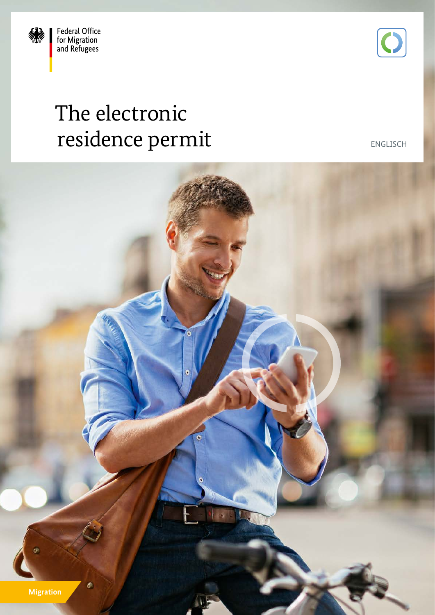

Federal Office<br>for Migration<br>and Refugees



# The electronic residence permit

ENGLISCH

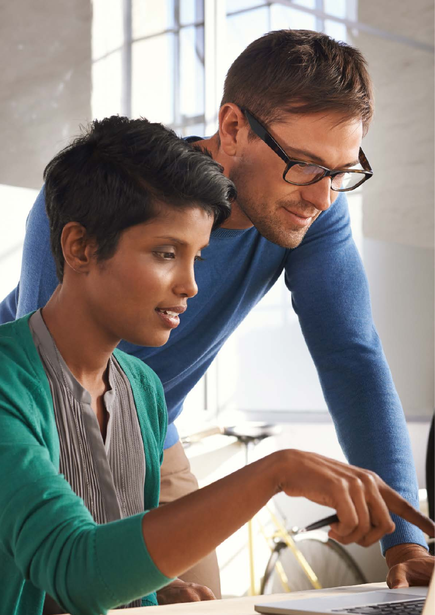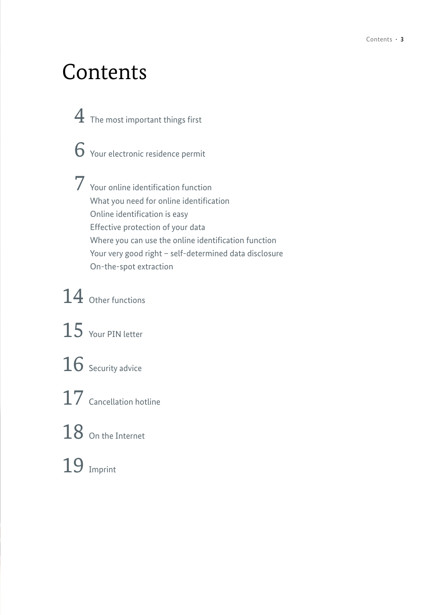# Contents

- $\boldsymbol{4}$  [The most important things first](#page-3-0)
- 6 [Your electronic residence permit](#page-5-0)

 7 [Your online identification function](#page-6-0)  [What you need for online identification](#page-7-0)  [Online identification is easy](#page-8-0)  [Effective protection of your data](#page-9-0)  [Where you can use the online identification function](#page-10-0)  [Your very good right – self-determined data disclosure](#page-11-0)  [On-the-spot extraction](#page-12-0)

[14](#page-13-0) Other functions

[15](#page-14-0) Your PIN letter

[16](#page-15-0) Security advice

17 [Cancellation hotline](#page-16-0)

[18](#page-17-0) On the Internet

[19](#page-18-0) Imprint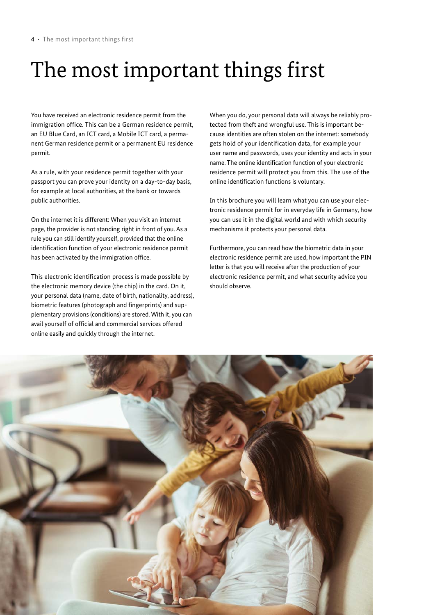# <span id="page-3-0"></span>The most important things first

You have received an electronic residence permit from the immigration office. This can be a German residence permit, an EU Blue Card, an ICT card, a Mobile ICT card, a perma nent German residence permit or a permanent EU residence permit.

As a rule, with your residence permit together with your passport you can prove your identity on a day-to-day basis, for example at local authorities, at the bank or towards public authorities.

On the internet it is different: When you visit an internet page, the provider is not standing right in front of you. As a rule you can still identify yourself, provided that the online identification function of your electronic residence permit has been activated by the immigration office.

This electronic identification process is made possible by the electronic memory device (the chip) in the card. On it, your personal data (name, date of birth, nationality, address), biometric features (photograph and fingerprints) and sup plementary provisions (conditions) are stored. With it, you can avail yourself of official and commercial services offered online easily and quickly through the internet.

When you do, your personal data will always be reliably pro tected from theft and wrongful use. This is important be cause identities are often stolen on the internet: somebody gets hold of your identification data, for example your user name and passwords, uses your identity and acts in your name. The online identification function of your electronic residence permit will protect you from this. The use of the online identification functions is voluntary.

In this brochure you will learn what you can use your elec tronic residence permit for in everyday life in Germany, how you can use it in the digital world and with which security mechanisms it protects your personal data.

Furthermore, you can read how the biometric data in your electronic residence permit are used, how important the PIN letter is that you will receive after the production of your electronic residence permit, and what security advice you should observe.

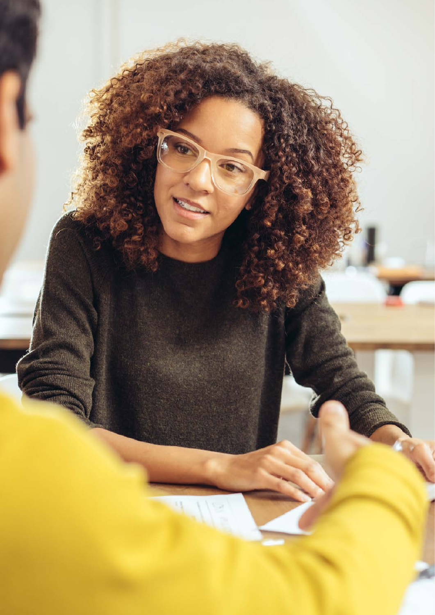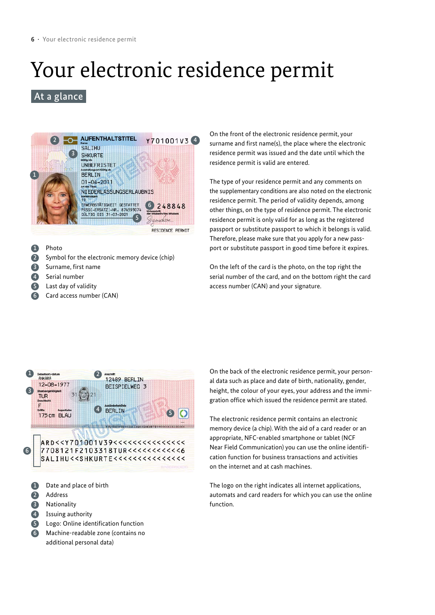# <span id="page-5-0"></span>Your electronic residence permit

## At a glance



#### Photo  $\bf{0}$

- Symbol for the electronic memory device (chip) 2
- Surname, first name 3
- Serial number 4
- 5 Last day of validity
- Card access number (CAN) 6

On the front of the electronic residence permit, your surname and first name(s), the place where the electronic residence permit was issued and the date until which the residence permit is valid are entered.

The type of your residence permit and any comments on the supplementary conditions are also noted on the electronic residence permit. The period of validity depends, among other things, on the type of residence permit. The electronic residence permit is only valid for as long as the registered passport or substitute passport to which it belongs is valid. Therefore, please make sure that you apply for a new pass port or substitute passport in good time before it expires.

On the left of the card is the photo, on the top right the serial number of the card, and on the bottom right the card access number (CAN) and your signature.



- **A** Date and place of birth
- Address  $\bullet$
- Nationality 8
- Issuing authority 4
- 5 Logo: Online identification function
- Machine-readable zone (contains no additional personal data) 6

On the back of the electronic residence permit, your person al data such as place and date of birth, nationality, gender, height, the colour of your eyes, your address and the immi gration office which issued the residence permit are stated.

The electronic residence permit contains an electronic memory device (a chip). With the aid of a card reader or an appropriate, NFC-enabled smartphone or tablet (NCF Near Field Communication) you can use the online identifi cation function for business transactions and activities on the internet and at cash machines.

The logo on the right indicates all internet applications, automats and card readers for which you can use the online function.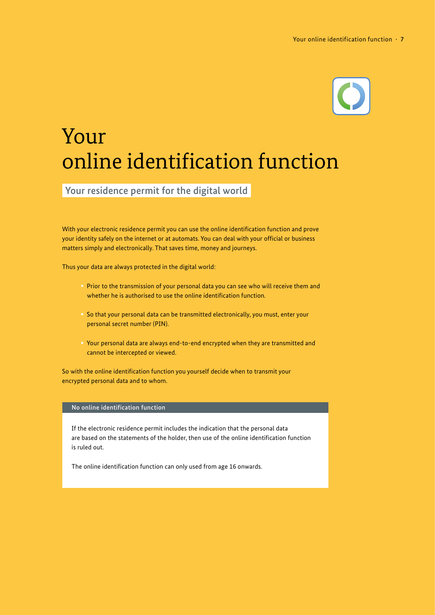# <span id="page-6-0"></span>Your online identification function

Your residence permit for the digital world

With your electronic residence permit you can use the online identification function and prove your identity safely on the internet or at automats. You can deal with your official or business matters simply and electronically. That saves time, money and journeys.

Thus your data are always protected in the digital world:

- Prior to the transmission of your personal data you can see who will receive them and whether he is authorised to use the online identification function.
- § So that your personal data can be transmitted electronically, you must, enter your personal secret number (PIN).
- § Your personal data are always end-to-end encrypted when they are transmitted and cannot be intercepted or viewed.

So with the online identification function you yourself decide when to transmit your encrypted personal data and to whom.

#### No online identification function

If the electronic residence permit includes the indication that the personal data are based on the statements of the holder, then use of the online identification function is ruled out.

The online identification function can only used from age 16 onwards.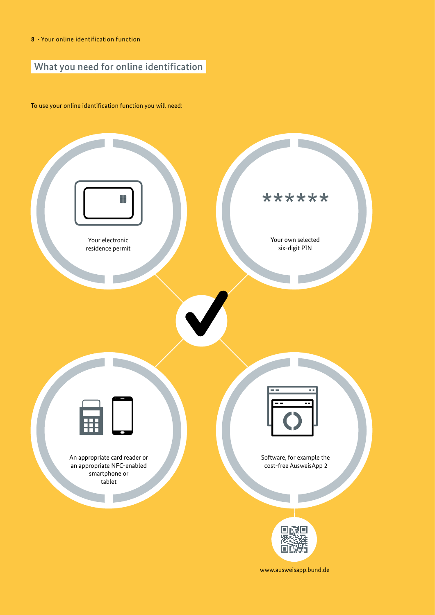#### <span id="page-7-0"></span>8 · Your online identification function

## What you need for online identification

To use your online identification function you will need:

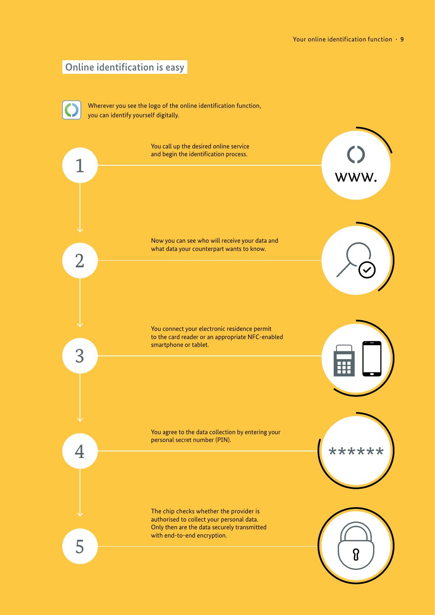## <span id="page-8-0"></span>Online identification is easy

Wherever you see the logo of the online identification function, you can identify yourself digitally.

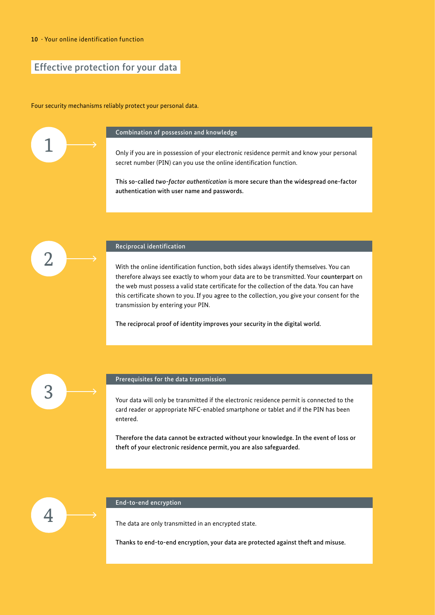#### <span id="page-9-0"></span>10 · Your online identification function

## Effective protection for your data

Four security mechanisms reliably protect your personal data.

#### Combination of possession and knowledge

Only if you are in possession of your electronic residence permit and know your personal secret number (PIN) can you use the online identification function.

This so-called *two-factor authentication* is more secure than the widespread one-factor authentication with user name and passwords.

2

1

#### Reciprocal identification

With the online identification function, both sides always identify themselves. You can therefore always see exactly to whom your data are to be transmitted. Your counterpart on the web must possess a valid state certificate for the collection of the data. You can have this certificate shown to you. If you agree to the collection, you give your consent for the transmission by entering your PIN.

The reciprocal proof of identity improves your security in the digital world.



#### Prerequisites for the data transmission

Your data will only be transmitted if the electronic residence permit is connected to the card reader or appropriate NFC-enabled smartphone or tablet and if the PIN has been entered.

Therefore the data cannot be extracted without your knowledge. In the event of loss or theft of your electronic residence permit, you are also safeguarded.



#### End-to-end encryption

The data are only transmitted in an encrypted state.

Thanks to end-to-end encryption, your data are protected against theft and misuse.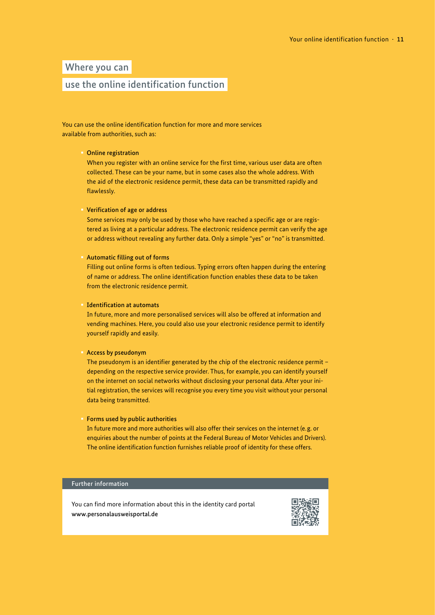#### <span id="page-10-0"></span>Where you can

## use the online identification function

You can use the online identification function for more and more services available from authorities, such as:

#### ■ Online registration

When you register with an online service for the first time, various user data are often collected. These can be your name, but in some cases also the whole address. With the aid of the electronic residence permit, these data can be transmitted rapidly and flawlessly.

#### § Verification of age or address

Some services may only be used by those who have reached a specific age or are regis tered as living at a particular address. The electronic residence permit can verify the age or address without revealing any further data. Only a simple "yes" or "no" is transmitted.

#### § Automatic filling out of forms

Filling out online forms is often tedious. Typing errors often happen during the entering of name or address. The online identification function enables these data to be taken from the electronic residence permit.

#### § Identification at automats

In future, more and more personalised services will also be offered at information and vending machines. Here, you could also use your electronic residence permit to identify yourself rapidly and easily.

#### § Access by pseudonym

The pseudonym is an identifier generated by the chip of the electronic residence permit depending on the respective service provider. Thus, for example, you can identify yourself on the internet on social networks without disclosing your personal data. After your ini tial registration, the services will recognise you every time you visit without your personal data being transmitted.

#### § Forms used by public authorities

In future more and more authorities will also offer their services on the internet (e. g. or enquiries about the number of points at the Federal Bureau of Motor Vehicles and Drivers). The online identification function furnishes reliable proof of identity for these offers.

#### Further information

You can find more information about this in the identity card portal [www.personalausweisportal.de](http://www.personalausweisportal.de)

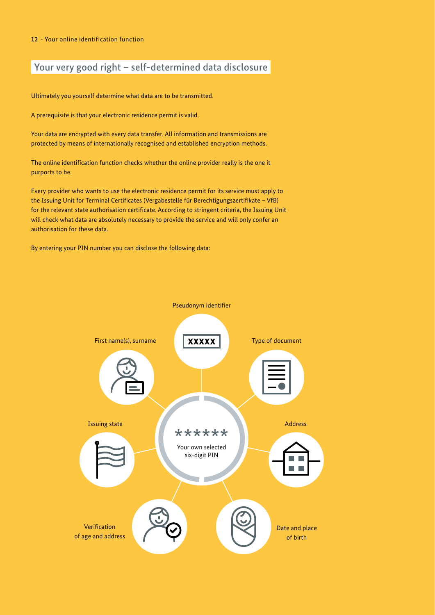## <span id="page-11-0"></span>Your very good right – self-determined data disclosure

Ultimately you yourself determine what data are to be transmitted.

A prerequisite is that your electronic residence permit is valid.

Your data are encrypted with every data transfer. All information and transmissions are protected by means of internationally recognised and established encryption methods.

The online identification function checks whether the online provider really is the one it purports to be.

Every provider who wants to use the electronic residence permit for its service must apply to the Issuing Unit for Terminal Certificates (Vergabestelle für Berechtigungszertifikate – VfB) for the relevant state authorisation certificate. According to stringent criteria, the Issuing Unit will check what data are absolutely necessary to provide the service and will only confer an authorisation for these data.

By entering your PIN number you can disclose the following data:

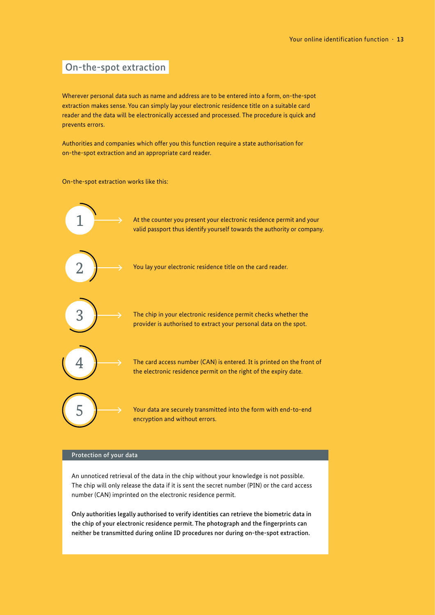## <span id="page-12-0"></span>On-the-spot extraction

Wherever personal data such as name and address are to be entered into a form, on-the-spot extraction makes sense. You can simply lay your electronic residence title on a suitable card reader and the data will be electronically accessed and processed. The procedure is quick and prevents errors.

Authorities and companies which offer you this function require a state authorisation for on-the-spot extraction and an appropriate card reader.

#### On-the-spot extraction works like this:



#### Protection of your data

An unnoticed retrieval of the data in the chip without your knowledge is not possible. The chip will only release the data if it is sent the secret number (PIN) or the card access number (CAN) imprinted on the electronic residence permit.

Only authorities legally authorised to verify identities can retrieve the biometric data in the chip of your electronic residence permit. The photograph and the fingerprints can neither be transmitted during online ID procedures nor during on-the-spot extraction.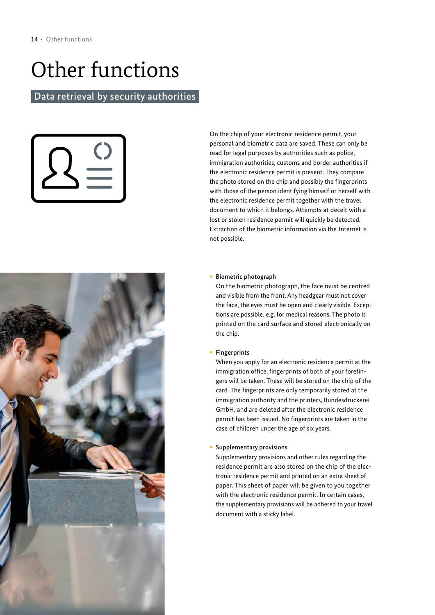# <span id="page-13-0"></span>Other functions

## Data retrieval by security authorities





On the chip of your electronic residence permit, your personal and biometric data are saved. These can only be read for legal purposes by authorities such as police, immigration authorities, customs and border authorities if the electronic residence permit is present. They compare the photo stored on the chip and possibly the fingerprints with those of the person identifying himself or herself with the electronic residence permit together with the travel document to which it belongs. Attempts at deceit with a lost or stolen residence permit will quickly be detected. Extraction of the biometric information via the Internet is not possible.

§ Biometric photograph

On the biometric photograph, the face must be centred and visible from the front. Any headgear must not cover the face, the eyes must be open and clearly visible. Excep tions are possible, e.g. for medical reasons. The photo is printed on the card surface and stored electronically on the chip.

**Fingerprints** 

When you apply for an electronic residence permit at the immigration office, fingerprints of both of your forefin gers will be taken. These will be stored on the chip of the card. The fingerprints are only temporarily stored at the immigration authority and the printers, Bundesdruckerei GmbH, and are deleted after the electronic residence permit has been issued. No fingerprints are taken in the case of children under the age of six years.

§ Supplementary provisions

Supplementary provisions and other rules regarding the residence permit are also stored on the chip of the elec tronic residence permit and printed on an extra sheet of paper. This sheet of paper will be given to you together with the electronic residence permit. In certain cases, the supplementary provisions will be adhered to your travel document with a sticky label.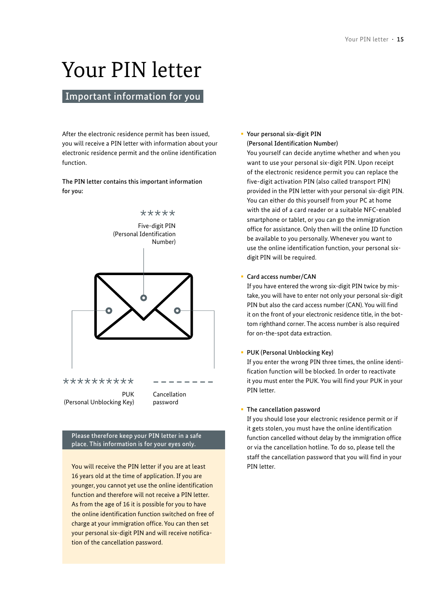# <span id="page-14-0"></span>Your PIN letter

### Important information for you

After the electronic residence permit has been issued, you will receive a PIN letter with information about your electronic residence permit and the online identification function.

The PIN letter contains this important information for you:



\*\*\*\*\*\*\*\*\*\*

PUK (Personal Unblocking Key) Cancellation password **– – – – – – – –**

#### Please therefore keep your PIN letter in a safe place. This information is for your eyes only.

You will receive the PIN letter if you are at least 16 years old at the time of application. If you are younger, you cannot yet use the online identification function and therefore will not receive a PIN letter. As from the age of 16 it is possible for you to have the online identification function switched on free of charge at your immigration office. You can then set your personal six-digit PIN and will receive notifica tion of the cancellation password.

§ Your personal six-digit PIN (Personal Identification Number)

You yourself can decide anytime whether and when you want to use your personal six-digit PIN. Upon receipt of the electronic residence permit you can replace the five-digit activation PIN (also called transport PIN) provided in the PIN letter with your personal six-digit PIN. You can either do this yourself from your PC at home with the aid of a card reader or a suitable NFC-enabled smartphone or tablet, or you can go the immigration office for assistance. Only then will the online ID function be available to you personally. Whenever you want to use the online identification function, your personal sixdigit PIN will be required.

#### § Card access number/CAN

If you have entered the wrong six-digit PIN twice by mis take, you will have to enter not only your personal six-digit PIN but also the card access number (CAN). You will find it on the front of your electronic residence title, in the bottom righthand corner. The access number is also required for on-the-spot data extraction.

#### § PUK (Personal Unblocking Key)

If you enter the wrong PIN three times, the online identi fication function will be blocked. In order to reactivate it you must enter the PUK. You will find your PUK in your PIN letter.

#### § The cancellation password

If you should lose your electronic residence permit or if it gets stolen, you must have the online identification function cancelled without delay by the immigration office or via the cancellation hotline. To do so, please tell the staff the cancellation password that you will find in your PIN letter.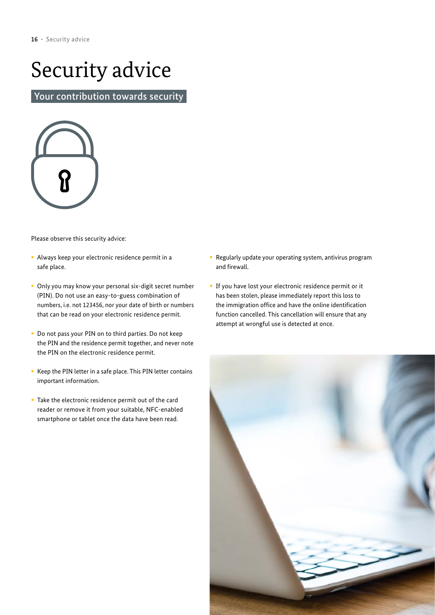# <span id="page-15-0"></span>Security advice

Your contribution towards security



Please observe this security advice:

- § Always keep your electronic residence permit in a safe place.
- Only you may know your personal six-digit secret number (PIN). Do not use an easy-to-guess combination of numbers, i.e. not 123456, nor your date of birth or numbers that can be read on your electronic residence permit.
- Do not pass your PIN on to third parties. Do not keep the PIN and the residence permit together, and never note the PIN on the electronic residence permit.
- Keep the PIN letter in a safe place. This PIN letter contains important information.
- § Take the electronic residence permit out of the card reader or remove it from your suitable, NFC-enabled smartphone or tablet once the data have been read.
- Regularly update your operating system, antivirus program and firewall.
- § If you have lost your electronic residence permit or it has been stolen, please immediately report this loss to the immigration office and have the online identification function cancelled. This cancellation will ensure that any attempt at wrongful use is detected at once.

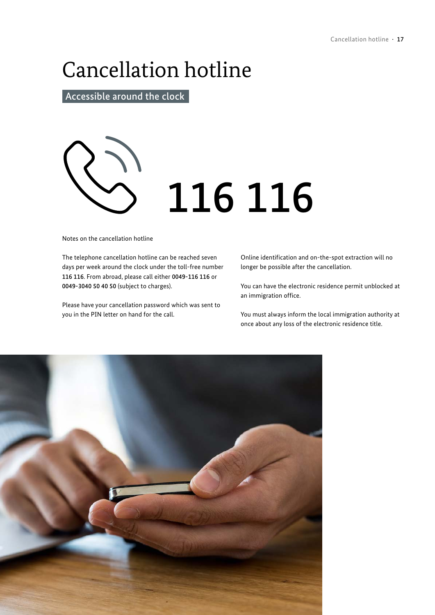# <span id="page-16-0"></span>Cancellation hotline

Accessible around the clock

# 116 116

Notes on the cancellation hotline

The telephone cancellation hotline can be reached seven days per week around the clock under the toll-free number 116 116. From abroad, please call either 0049-116 116 or 0049-3040 50 40 50 (subject to charges).

Please have your cancellation password which was sent to you in the PIN letter on hand for the call.

Online identification and on-the-spot extraction will no longer be possible after the cancellation.

You can have the electronic residence permit unblocked at an immigration office.

You must always inform the local immigration authority at once about any loss of the electronic residence title.

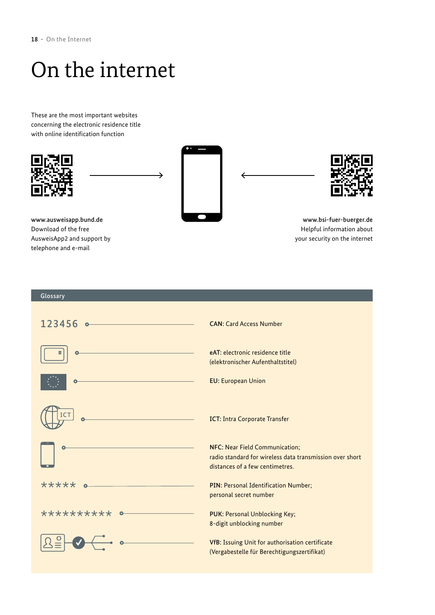<span id="page-17-0"></span>18 · On the Internet

# On the internet

These are the most important websites concerning the electronic residence title with online identification function





←

→

[www.ausweisapp.bund.de](http://www.ausweisapp.bund.de) Download of the free AusweisApp2 and support by telephone and e-mail

[www.bsi-fuer-buerger.de](http://www.bsi-fuer-buerger.de) Helpful information about your security on the internet

| Glossary                                                                                                                          |                                                                                                                               |
|-----------------------------------------------------------------------------------------------------------------------------------|-------------------------------------------------------------------------------------------------------------------------------|
| 123456 o<br><u> 1990 - Johann Barn, mars ann an t-Amhain an t-Amhain an t-Amhain an t-Amhain an t-Amhain an t-Amhain an t-Amh</u> | <b>CAN: Card Access Number</b>                                                                                                |
| <u> 1990 - Johann Barnett, fransk politiker (</u>                                                                                 | eAT: electronic residence title<br>(elektronischer Aufenthaltstitel)                                                          |
| <u> 1990 - Jan Barnett, fransk politik (</u>                                                                                      | <b>EU: European Union</b>                                                                                                     |
| <b>ICT</b><br><u> 1990 - Johann Barbara, martin a</u>                                                                             | ICT: Intra Corporate Transfer                                                                                                 |
|                                                                                                                                   | NFC: Near Field Communication;<br>radio standard for wireless data transmission over short<br>distances of a few centimetres. |
| *****<br>$\Omega$                                                                                                                 | PIN: Personal Identification Number;<br>personal secret number                                                                |
| **********                                                                                                                        | <b>PUK: Personal Unblocking Key;</b><br>8-digit unblocking number                                                             |
|                                                                                                                                   | VfB: Issuing Unit for authorisation certificate<br>(Vergabestelle für Berechtigungszertifikat)                                |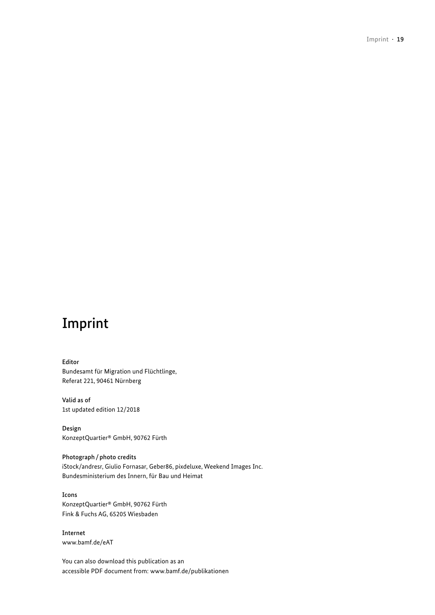## <span id="page-18-0"></span>Imprint

#### Editor

Bundesamt für Migration und Flüchtlinge, Referat 221, 90461 Nürnberg

Valid as of 1st updated edition 12/2018

Design KonzeptQuartier® GmbH, 90762 Fürth

Photograph / photo credits iStock/andresr, Giulio Fornasar, Geber86, pixdeluxe, Weekend Images Inc. Bundesministerium des Innern, für Bau und Heimat

Icons KonzeptQuartier® GmbH, 90762 Fürth Fink & Fuchs AG, 65205 Wiesbaden

Internet [www.bamf.de/eAT](http://www.bamf.de/eAT)

You can also download this publication as an accessible PDF document from: [www.bamf.de/publikationen](http://www.bamf.de/publikationen)